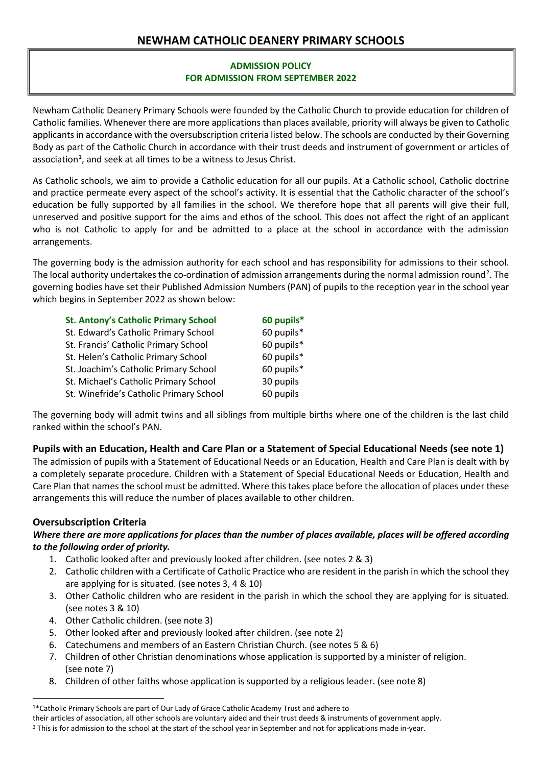# **NEWHAM CATHOLIC DEANERY PRIMARY SCHOOLS**

# **ADMISSION POLICY FOR ADMISSION FROM SEPTEMBER 2022**

Newham Catholic Deanery Primary Schools were founded by the Catholic Church to provide education for children of Catholic families. Whenever there are more applications than places available, priority will always be given to Catholic applicants in accordance with the oversubscription criteria listed below. The schools are conducted by their Governing Body as part of the Catholic Church in accordance with their trust deeds and instrument of government or articles of association<sup>1</sup>, and seek at all times to be a witness to Jesus Christ.

As Catholic schools, we aim to provide a Catholic education for all our pupils. At a Catholic school, Catholic doctrine and practice permeate every aspect of the school's activity. It is essential that the Catholic character of the school's education be fully supported by all families in the school. We therefore hope that all parents will give their full, unreserved and positive support for the aims and ethos of the school. This does not affect the right of an applicant who is not Catholic to apply for and be admitted to a place at the school in accordance with the admission arrangements.

The governing body is the admission authority for each school and has responsibility for admissions to their school. The local authority undertakes the co-ordination of admission arrangements during the normal admission round<sup>[2](#page-0-1)</sup>. The governing bodies have set their Published Admission Numbers (PAN) of pupils to the reception year in the school year which begins in September 2022 as shown below:

| <b>St. Antony's Catholic Primary School</b> | 60 pupils* |
|---------------------------------------------|------------|
| St. Edward's Catholic Primary School        | 60 pupils* |
| St. Francis' Catholic Primary School        | 60 pupils* |
| St. Helen's Catholic Primary School         | 60 pupils* |
| St. Joachim's Catholic Primary School       | 60 pupils* |
| St. Michael's Catholic Primary School       | 30 pupils  |
| St. Winefride's Catholic Primary School     | 60 pupils  |

The governing body will admit twins and all siblings from multiple births where one of the children is the last child ranked within the school's PAN.

# **Pupils with an Education, Health and Care Plan or a Statement of Special Educational Needs (see note 1)**

The admission of pupils with a Statement of Educational Needs or an Education, Health and Care Plan is dealt with by a completely separate procedure. Children with a Statement of Special Educational Needs or Education, Health and Care Plan that names the school must be admitted. Where this takes place before the allocation of places under these arrangements this will reduce the number of places available to other children.

# **Oversubscription Criteria**

### *Where there are more applications for places than the number of places available, places will be offered according to the following order of priority.*

- 1. Catholic looked after and previously looked after children. (see notes 2 & 3)
- 2. Catholic children with a Certificate of Catholic Practice who are resident in the parish in which the school they are applying for is situated. (see notes 3, 4 & 10)
- 3. Other Catholic children who are resident in the parish in which the school they are applying for is situated. (see notes 3 & 10)
- 4. Other Catholic children. (see note 3)
- 5. Other looked after and previously looked after children. (see note 2)
- 6. Catechumens and members of an Eastern Christian Church. (see notes 5 & 6)
- 7. Children of other Christian denominations whose application is supported by a minister of religion. (see note 7)
- 8. Children of other faiths whose application is supported by a religious leader. (see note 8)

<span id="page-0-0"></span> <sup>1\*</sup>Catholic Primary Schools are part of Our Lady of Grace Catholic Academy Trust and adhere to

their articles of association, all other schools are voluntary aided and their trust deeds & instruments of government apply.

<span id="page-0-1"></span><sup>&</sup>lt;sup>2</sup> This is for admission to the school at the start of the school year in September and not for applications made in-year.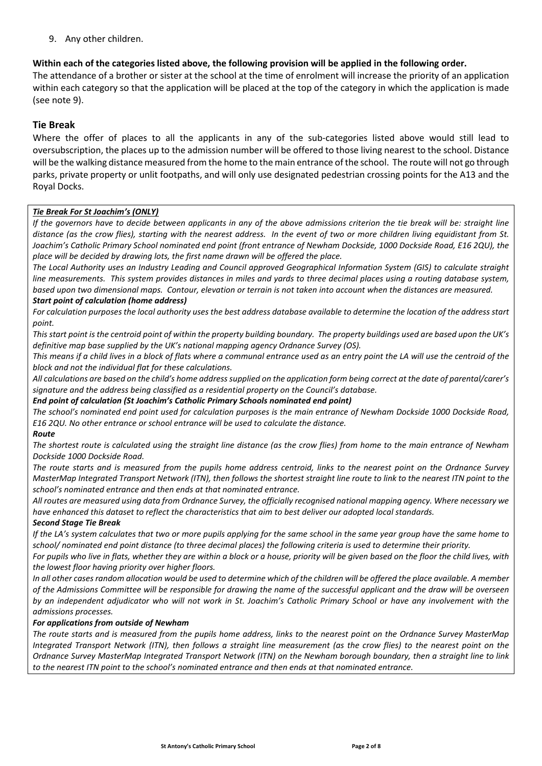9. Any other children.

# **Within each of the categories listed above, the following provision will be applied in the following order.**

The attendance of a brother or sister at the school at the time of enrolment will increase the priority of an application within each category so that the application will be placed at the top of the category in which the application is made (see note 9).

# **Tie Break**

Where the offer of places to all the applicants in any of the sub-categories listed above would still lead to oversubscription, the places up to the admission number will be offered to those living nearest to the school. Distance will be the walking distance measured from the home to the main entrance of the school. The route will not go through parks, private property or unlit footpaths, and will only use designated pedestrian crossing points for the A13 and the Royal Docks.

#### *Tie Break For St Joachim's (ONLY)*

*If the governors have to decide between applicants in any of the above admissions criterion the tie break will be: straight line distance (as the crow flies), starting with the nearest address. In the event of two or more children living equidistant from St. Joachim's Catholic Primary School nominated end point (front entrance of Newham Dockside, 1000 Dockside Road, E16 2QU), the place will be decided by drawing lots, the first name drawn will be offered the place.*

*The Local Authority uses an Industry Leading and Council approved Geographical Information System (GIS) to calculate straight line measurements. This system provides distances in miles and yards to three decimal places using a routing database system, based upon two dimensional maps. Contour, elevation or terrain is not taken into account when the distances are measured. Start point of calculation (home address)*

#### *For calculation purposes the local authority uses the best address database available to determine the location of the address start point.*

*This start point is the centroid point of within the property building boundary. The property buildings used are based upon the UK's definitive map base supplied by the UK's national mapping agency Ordnance Survey (OS).*

*This means if a child lives in a block of flats where a communal entrance used as an entry point the LA will use the centroid of the block and not the individual flat for these calculations.* 

*All calculations are based on the child's home address supplied on the application form being correct at the date of parental/carer's signature and the address being classified as a residential property on the Council's database.*

*End point of calculation (St Joachim's Catholic Primary Schools nominated end point)*

*The school's nominated end point used for calculation purposes is the main entrance of Newham Dockside 1000 Dockside Road, E16 2QU. No other entrance or school entrance will be used to calculate the distance.*

#### *Route*

*The shortest route is calculated using the straight line distance (as the crow flies) from home to the main entrance of Newham Dockside 1000 Dockside Road.*

*The route starts and is measured from the pupils home address centroid, links to the nearest point on the Ordnance Survey MasterMap Integrated Transport Network (ITN), then follows the shortest straight line route to link to the nearest ITN point to the school's nominated entrance and then ends at that nominated entrance.*

*All routes are measured using data from Ordnance Survey, the officially recognised national mapping agency. Where necessary we have enhanced this dataset to reflect the characteristics that aim to best deliver our adopted local standards.* 

#### *Second Stage Tie Break*

*If the LA's system calculates that two or more pupils applying for the same school in the same year group have the same home to school/ nominated end point distance (to three decimal places) the following criteria is used to determine their priority.*

*For pupils who live in flats, whether they are within a block or a house, priority will be given based on the floor the child lives, with the lowest floor having priority over higher floors.*

*In all other cases random allocation would be used to determine which of the children will be offered the place available. A member of the Admissions Committee will be responsible for drawing the name of the successful applicant and the draw will be overseen by an independent adjudicator who will not work in St. Joachim's Catholic Primary School or have any involvement with the admissions processes.* 

#### *For applications from outside of Newham*

*The route starts and is measured from the pupils home address, links to the nearest point on the Ordnance Survey MasterMap Integrated Transport Network (ITN), then follows a straight line measurement (as the crow flies) to the nearest point on the Ordnance Survey MasterMap Integrated Transport Network (ITN) on the Newham borough boundary, then a straight line to link to the nearest ITN point to the school's nominated entrance and then ends at that nominated entrance.*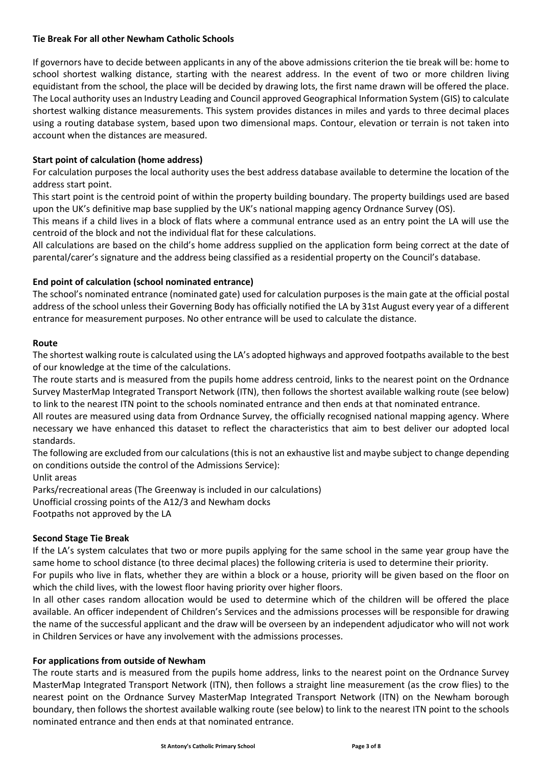### **Tie Break For all other Newham Catholic Schools**

If governors have to decide between applicants in any of the above admissions criterion the tie break will be: home to school shortest walking distance, starting with the nearest address. In the event of two or more children living equidistant from the school, the place will be decided by drawing lots, the first name drawn will be offered the place. The Local authority uses an Industry Leading and Council approved Geographical Information System (GIS) to calculate shortest walking distance measurements. This system provides distances in miles and yards to three decimal places using a routing database system, based upon two dimensional maps. Contour, elevation or terrain is not taken into account when the distances are measured.

# **Start point of calculation (home address)**

For calculation purposes the local authority uses the best address database available to determine the location of the address start point.

This start point is the centroid point of within the property building boundary. The property buildings used are based upon the UK's definitive map base supplied by the UK's national mapping agency Ordnance Survey (OS).

This means if a child lives in a block of flats where a communal entrance used as an entry point the LA will use the centroid of the block and not the individual flat for these calculations.

All calculations are based on the child's home address supplied on the application form being correct at the date of parental/carer's signature and the address being classified as a residential property on the Council's database.

# **End point of calculation (school nominated entrance)**

The school's nominated entrance (nominated gate) used for calculation purposes is the main gate at the official postal address of the school unless their Governing Body has officially notified the LA by 31st August every year of a different entrance for measurement purposes. No other entrance will be used to calculate the distance.

### **Route**

The shortest walking route is calculated using the LA's adopted highways and approved footpaths available to the best of our knowledge at the time of the calculations.

The route starts and is measured from the pupils home address centroid, links to the nearest point on the Ordnance Survey MasterMap Integrated Transport Network (ITN), then follows the shortest available walking route (see below) to link to the nearest ITN point to the schools nominated entrance and then ends at that nominated entrance.

All routes are measured using data from Ordnance Survey, the officially recognised national mapping agency. Where necessary we have enhanced this dataset to reflect the characteristics that aim to best deliver our adopted local standards.

The following are excluded from our calculations (this is not an exhaustive list and maybe subject to change depending on conditions outside the control of the Admissions Service):

Unlit areas

Parks/recreational areas (The Greenway is included in our calculations) Unofficial crossing points of the A12/3 and Newham docks

Footpaths not approved by the LA

# **Second Stage Tie Break**

If the LA's system calculates that two or more pupils applying for the same school in the same year group have the same home to school distance (to three decimal places) the following criteria is used to determine their priority.

For pupils who live in flats, whether they are within a block or a house, priority will be given based on the floor on which the child lives, with the lowest floor having priority over higher floors.

In all other cases random allocation would be used to determine which of the children will be offered the place available. An officer independent of Children's Services and the admissions processes will be responsible for drawing the name of the successful applicant and the draw will be overseen by an independent adjudicator who will not work in Children Services or have any involvement with the admissions processes.

#### **For applications from outside of Newham**

The route starts and is measured from the pupils home address, links to the nearest point on the Ordnance Survey MasterMap Integrated Transport Network (ITN), then follows a straight line measurement (as the crow flies) to the nearest point on the Ordnance Survey MasterMap Integrated Transport Network (ITN) on the Newham borough boundary, then follows the shortest available walking route (see below) to link to the nearest ITN point to the schools nominated entrance and then ends at that nominated entrance.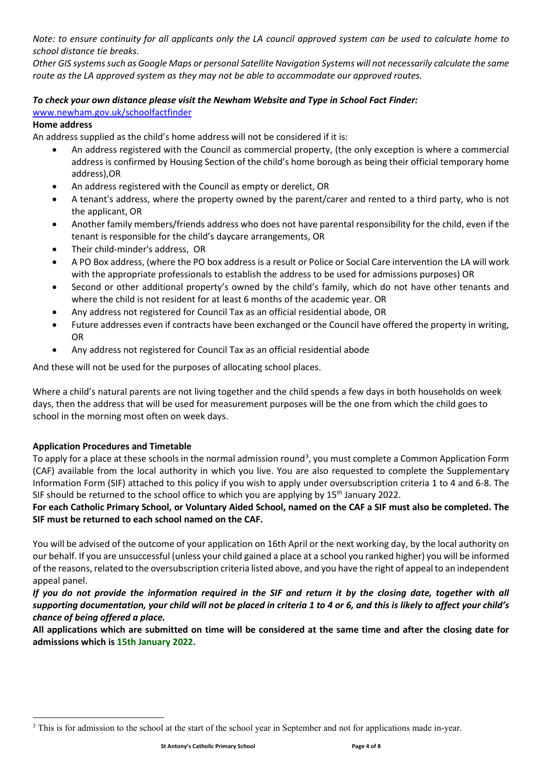*Note: to ensure continuity for all applicants only the LA council approved system can be used to calculate home to school distance tie breaks.* 

*Other GIS systems such as Google Maps or personal Satellite Navigation Systems will not necessarily calculate the same route as the LA approved system as they may not be able to accommodate our approved routes.* 

### *To check your own distance please visit the Newham Website and Type in School Fact Finder:*

### [www.newham.gov.uk/schoolfactfinder](http://www.newham.gov.uk/schoolfactfinder)

### **Home address**

An address supplied as the child's home address will not be considered if it is:

- An address registered with the Council as commercial property, (the only exception is where a commercial address is confirmed by Housing Section of the child's home borough as being their official temporary home address),OR
- An address registered with the Council as empty or derelict, OR
- A tenant's address, where the property owned by the parent/carer and rented to a third party, who is not the applicant, OR
- Another family members/friends address who does not have parental responsibility for the child, even if the tenant is responsible for the child's daycare arrangements, OR
- Their child-minder's address, OR
- A PO Box address, (where the PO box address is a result or Police or Social Care intervention the LA will work with the appropriate professionals to establish the address to be used for admissions purposes) OR
- Second or other additional property's owned by the child's family, which do not have other tenants and where the child is not resident for at least 6 months of the academic year. OR
- Any address not registered for Council Tax as an official residential abode, OR
- Future addresses even if contracts have been exchanged or the Council have offered the property in writing, OR
- Any address not registered for Council Tax as an official residential abode

And these will not be used for the purposes of allocating school places.

Where a child's natural parents are not living together and the child spends a few days in both households on week days, then the address that will be used for measurement purposes will be the one from which the child goes to school in the morning most often on week days.

#### **Application Procedures and Timetable**

 $\overline{a}$ 

To apply for a place at these schools in the normal admission round<sup>[3](#page-3-0)</sup>, you must complete a Common Application Form (CAF) available from the local authority in which you live. You are also requested to complete the Supplementary Information Form (SIF) attached to this policy if you wish to apply under oversubscription criteria 1 to 4 and 6-8. The SIF should be returned to the school office to which you are applying by 15<sup>th</sup> January 2022.

# **For each Catholic Primary School, or Voluntary Aided School, named on the CAF a SIF must also be completed. The SIF must be returned to each school named on the CAF.**

You will be advised of the outcome of your application on 16th April or the next working day, by the local authority on our behalf. If you are unsuccessful (unless your child gained a place at a school you ranked higher) you will be informed of the reasons, related to the oversubscription criteria listed above, and you have the right of appeal to an independent appeal panel.

# *If you do not provide the information required in the SIF and return it by the closing date, together with all supporting documentation, your child will not be placed in criteria 1 to 4 or 6, and this is likely to affect your child's chance of being offered a place.*

**All applications which are submitted on time will be considered at the same time and after the closing date for admissions which is 15th January 2022.**

<span id="page-3-0"></span><sup>&</sup>lt;sup>3</sup> This is for admission to the school at the start of the school year in September and not for applications made in-year.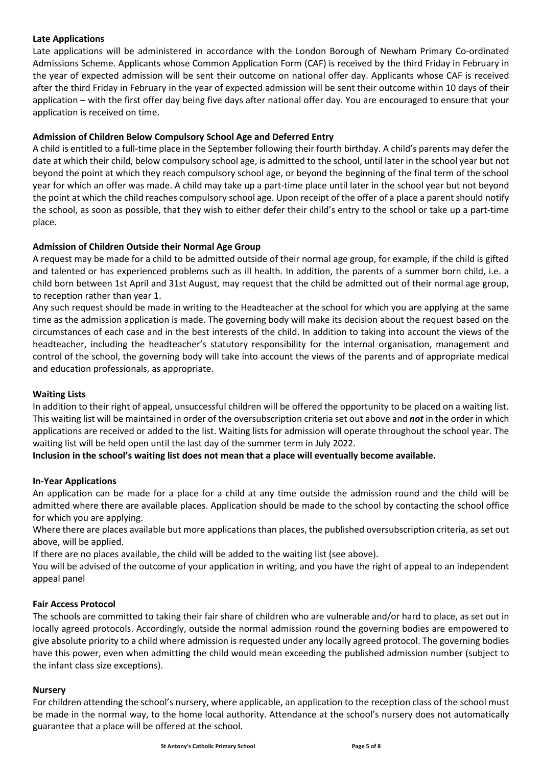### **Late Applications**

Late applications will be administered in accordance with the London Borough of Newham Primary Co-ordinated Admissions Scheme. Applicants whose Common Application Form (CAF) is received by the third Friday in February in the year of expected admission will be sent their outcome on national offer day. Applicants whose CAF is received after the third Friday in February in the year of expected admission will be sent their outcome within 10 days of their application – with the first offer day being five days after national offer day. You are encouraged to ensure that your application is received on time.

# **Admission of Children Below Compulsory School Age and Deferred Entry**

A child is entitled to a full-time place in the September following their fourth birthday. A child's parents may defer the date at which their child, below compulsory school age, is admitted to the school, until later in the school year but not beyond the point at which they reach compulsory school age, or beyond the beginning of the final term of the school year for which an offer was made. A child may take up a part-time place until later in the school year but not beyond the point at which the child reaches compulsory school age. Upon receipt of the offer of a place a parent should notify the school, as soon as possible, that they wish to either defer their child's entry to the school or take up a part-time place.

### **Admission of Children Outside their Normal Age Group**

A request may be made for a child to be admitted outside of their normal age group, for example, if the child is gifted and talented or has experienced problems such as ill health. In addition, the parents of a summer born child, i.e. a child born between 1st April and 31st August, may request that the child be admitted out of their normal age group, to reception rather than year 1.

Any such request should be made in writing to the Headteacher at the school for which you are applying at the same time as the admission application is made. The governing body will make its decision about the request based on the circumstances of each case and in the best interests of the child. In addition to taking into account the views of the headteacher, including the headteacher's statutory responsibility for the internal organisation, management and control of the school, the governing body will take into account the views of the parents and of appropriate medical and education professionals, as appropriate.

#### **Waiting Lists**

In addition to their right of appeal, unsuccessful children will be offered the opportunity to be placed on a waiting list. This waiting list will be maintained in order of the oversubscription criteria set out above and *not* in the order in which applications are received or added to the list. Waiting lists for admission will operate throughout the school year. The waiting list will be held open until the last day of the summer term in July 2022.

**Inclusion in the school's waiting list does not mean that a place will eventually become available.**

#### **In-Year Applications**

An application can be made for a place for a child at any time outside the admission round and the child will be admitted where there are available places. Application should be made to the school by contacting the school office for which you are applying.

Where there are places available but more applications than places, the published oversubscription criteria, as set out above, will be applied.

If there are no places available, the child will be added to the waiting list (see above).

You will be advised of the outcome of your application in writing, and you have the right of appeal to an independent appeal panel

#### **Fair Access Protocol**

The schools are committed to taking their fair share of children who are vulnerable and/or hard to place, as set out in locally agreed protocols. Accordingly, outside the normal admission round the governing bodies are empowered to give absolute priority to a child where admission is requested under any locally agreed protocol. The governing bodies have this power, even when admitting the child would mean exceeding the published admission number (subject to the infant class size exceptions).

#### **Nursery**

For children attending the school's nursery, where applicable, an application to the reception class of the school must be made in the normal way, to the home local authority. Attendance at the school's nursery does not automatically guarantee that a place will be offered at the school.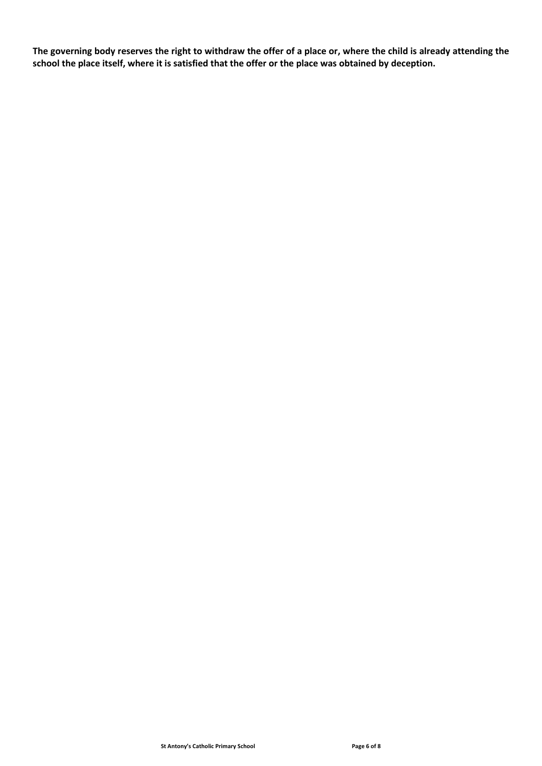**The governing body reserves the right to withdraw the offer of a place or, where the child is already attending the school the place itself, where it is satisfied that the offer or the place was obtained by deception.**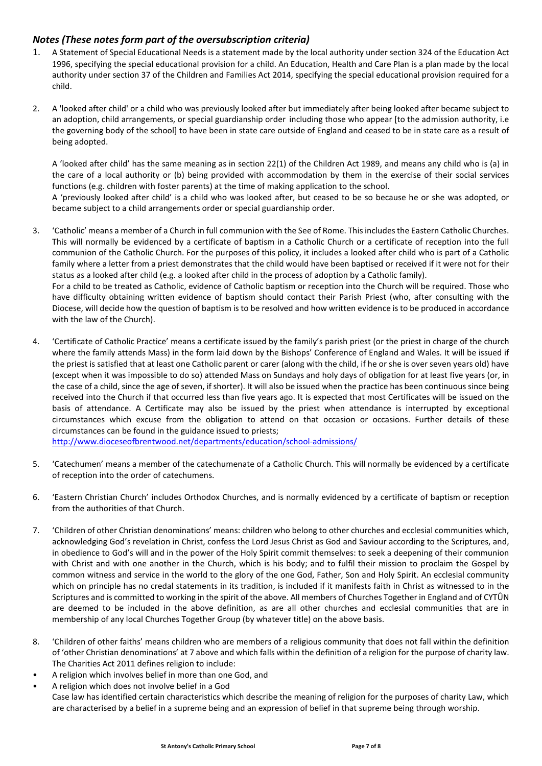# *Notes (These notes form part of the oversubscription criteria)*

became subject to a child arrangements order or special guardianship order.

- 1. A Statement of Special Educational Needs is a statement made by the local authority under section 324 of the Education Act 1996, specifying the special educational provision for a child. An Education, Health and Care Plan is a plan made by the local authority under section 37 of the Children and Families Act 2014, specifying the special educational provision required for a child.
- 2. A 'looked after child' or a child who was previously looked after but immediately after being looked after became subject to an adoption, child arrangements, or special guardianship order including those who appear [to the admission authority, i.e the governing body of the school] to have been in state care outside of England and ceased to be in state care as a result of being adopted.

A 'looked after child' has the same meaning as in section 22(1) of the Children Act 1989, and means any child who is (a) in the care of a local authority or (b) being provided with accommodation by them in the exercise of their social services functions (e.g. children with foster parents) at the time of making application to the school. A 'previously looked after child' is a child who was looked after, but ceased to be so because he or she was adopted, or

3. 'Catholic' means a member of a Church in full communion with the See of Rome. This includes the Eastern Catholic Churches. This will normally be evidenced by a certificate of baptism in a Catholic Church or a certificate of reception into the full communion of the Catholic Church. For the purposes of this policy, it includes a looked after child who is part of a Catholic family where a letter from a priest demonstrates that the child would have been baptised or received if it were not for their status as a looked after child (e.g. a looked after child in the process of adoption by a Catholic family). For a child to be treated as Catholic, evidence of Catholic baptism or reception into the Church will be required. Those who

have difficulty obtaining written evidence of baptism should contact their Parish Priest (who, after consulting with the Diocese, will decide how the question of baptism is to be resolved and how written evidence is to be produced in accordance with the law of the Church).

4. 'Certificate of Catholic Practice' means a certificate issued by the family's parish priest (or the priest in charge of the church where the family attends Mass) in the form laid down by the Bishops' Conference of England and Wales. It will be issued if the priest is satisfied that at least one Catholic parent or carer (along with the child, if he or she is over seven years old) have (except when it was impossible to do so) attended Mass on Sundays and holy days of obligation for at least five years (or, in the case of a child, since the age of seven, if shorter). It will also be issued when the practice has been continuous since being received into the Church if that occurred less than five years ago. It is expected that most Certificates will be issued on the basis of attendance. A Certificate may also be issued by the priest when attendance is interrupted by exceptional circumstances which excuse from the obligation to attend on that occasion or occasions. Further details of these circumstances can be found in the guidance issued to priests;

<http://www.dioceseofbrentwood.net/departments/education/school-admissions/>

- 5. 'Catechumen' means a member of the catechumenate of a Catholic Church. This will normally be evidenced by a certificate of reception into the order of catechumens.
- 6. 'Eastern Christian Church' includes Orthodox Churches, and is normally evidenced by a certificate of baptism or reception from the authorities of that Church.
- 7. 'Children of other Christian denominations' means: children who belong to other churches and ecclesial communities which, acknowledging God's revelation in Christ, confess the Lord Jesus Christ as God and Saviour according to the Scriptures, and, in obedience to God's will and in the power of the Holy Spirit commit themselves: to seek a deepening of their communion with Christ and with one another in the Church, which is his body; and to fulfil their mission to proclaim the Gospel by common witness and service in the world to the glory of the one God, Father, Son and Holy Spirit. An ecclesial community which on principle has no credal statements in its tradition, is included if it manifests faith in Christ as witnessed to in the Scriptures and is committed to working in the spirit of the above. All members of Churches Together in England and of CYTÛN are deemed to be included in the above definition, as are all other churches and ecclesial communities that are in membership of any local Churches Together Group (by whatever title) on the above basis.
- 8. 'Children of other faiths' means children who are members of a religious community that does not fall within the definition of 'other Christian denominations' at 7 above and which falls within the definition of a religion for the purpose of charity law. The Charities Act 2011 defines religion to include:
- A religion which involves belief in more than one God, and
- A religion which does not involve belief in a God Case law has identified certain characteristics which describe the meaning of religion for the purposes of charity Law, which are characterised by a belief in a supreme being and an expression of belief in that supreme being through worship.